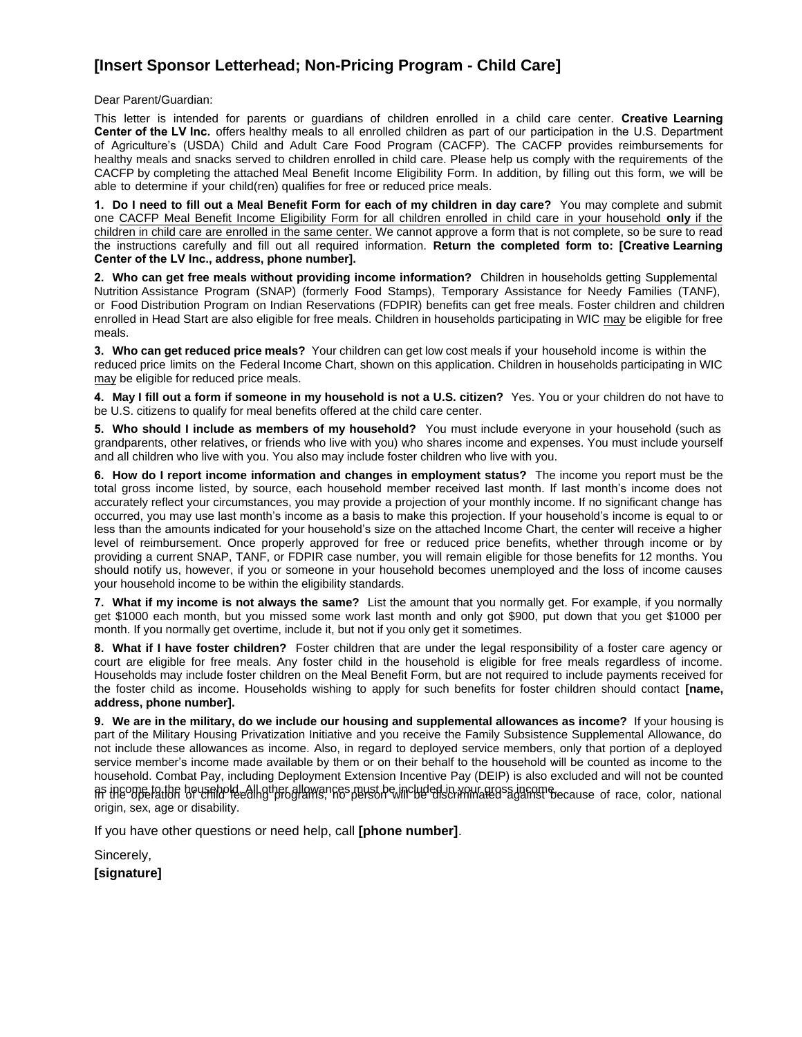# **[Insert Sponsor Letterhead; Non-Pricing Program - Child Care]**

Dear Parent/Guardian:

This letter is intended for parents or guardians of children enrolled in a child care center. **Creative Learning Center of the LV Inc.** offers healthy meals to all enrolled children as part of our participation in the U.S. Department of Agriculture's (USDA) Child and Adult Care Food Program (CACFP). The CACFP provides reimbursements for healthy meals and snacks served to children enrolled in child care. Please help us comply with the requirements of the CACFP by completing the attached Meal Benefit Income Eligibility Form. In addition, by filling out this form, we will be able to determine if your child(ren) qualifies for free or reduced price meals.

**1. Do I need to fill out a Meal Benefit Form for each of my children in day care?** You may complete and submit one CACFP Meal Benefit Income Eligibility Form for all children enrolled in child care in your household **only** if the children in child care are enrolled in the same center. We cannot approve a form that is not complete, so be sure to read the instructions carefully and fill out all required information. **Return the completed form to: [Creative Learning Center of the LV Inc., address, phone number].**

**2. Who can get free meals without providing income information?** Children in households getting Supplemental Nutrition Assistance Program (SNAP) (formerly Food Stamps), Temporary Assistance for Needy Families (TANF), or Food Distribution Program on Indian Reservations (FDPIR) benefits can get free meals. Foster children and children enrolled in Head Start are also eligible for free meals. Children in households participating in WIC may be eligible for free meals.

**3. Who can get reduced price meals?** Your children can get low cost meals if your household income is within the reduced price limits on the Federal Income Chart, shown on this application. Children in households participating in WIC may be eligible for reduced price meals.

**4. May I fill out a form if someone in my household is not a U.S. citizen?** Yes. You or your children do not have to be U.S. citizens to qualify for meal benefits offered at the child care center.

**5. Who should I include as members of my household?** You must include everyone in your household (such as grandparents, other relatives, or friends who live with you) who shares income and expenses. You must include yourself and all children who live with you. You also may include foster children who live with you.

**6. How do I report income information and changes in employment status?** The income you report must be the total gross income listed, by source, each household member received last month. If last month's income does not accurately reflect your circumstances, you may provide a projection of your monthly income. If no significant change has occurred, you may use last month's income as a basis to make this projection. If your household's income is equal to or less than the amounts indicated for your household's size on the attached Income Chart, the center will receive a higher level of reimbursement. Once properly approved for free or reduced price benefits, whether through income or by providing a current SNAP, TANF, or FDPIR case number, you will remain eligible for those benefits for 12 months. You should notify us, however, if you or someone in your household becomes unemployed and the loss of income causes your household income to be within the eligibility standards.

**7. What if my income is not always the same?** List the amount that you normally get. For example, if you normally get \$1000 each month, but you missed some work last month and only got \$900, put down that you get \$1000 per month. If you normally get overtime, include it, but not if you only get it sometimes.

**8. What if I have foster children?** Foster children that are under the legal responsibility of a foster care agency or court are eligible for free meals. Any foster child in the household is eligible for free meals regardless of income. Households may include foster children on the Meal Benefit Form, but are not required to include payments received for the foster child as income. Households wishing to apply for such benefits for foster children should contact **[name, address, phone number].**

**9. We are in the military, do we include our housing and supplemental allowances as income?** If your housing is part of the Military Housing Privatization Initiative and you receive the Family Subsistence Supplemental Allowance, do not include these allowances as income. Also, in regard to deployed service members, only that portion of a deployed service member's income made available by them or on their behalf to the household will be counted as income to the household. Combat Pay, including Deployment Extension Incentive Pay (DEIP) is also excluded and will not be counted as income to the household. All other allowances must be included in your gross income.<br>In the opperation of vehicle feeding programs, no person will be discriminated against because of race, color, national origin, sex, age or disability.

If you have other questions or need help, call **[phone number]**.

Sincerely,

**[signature]**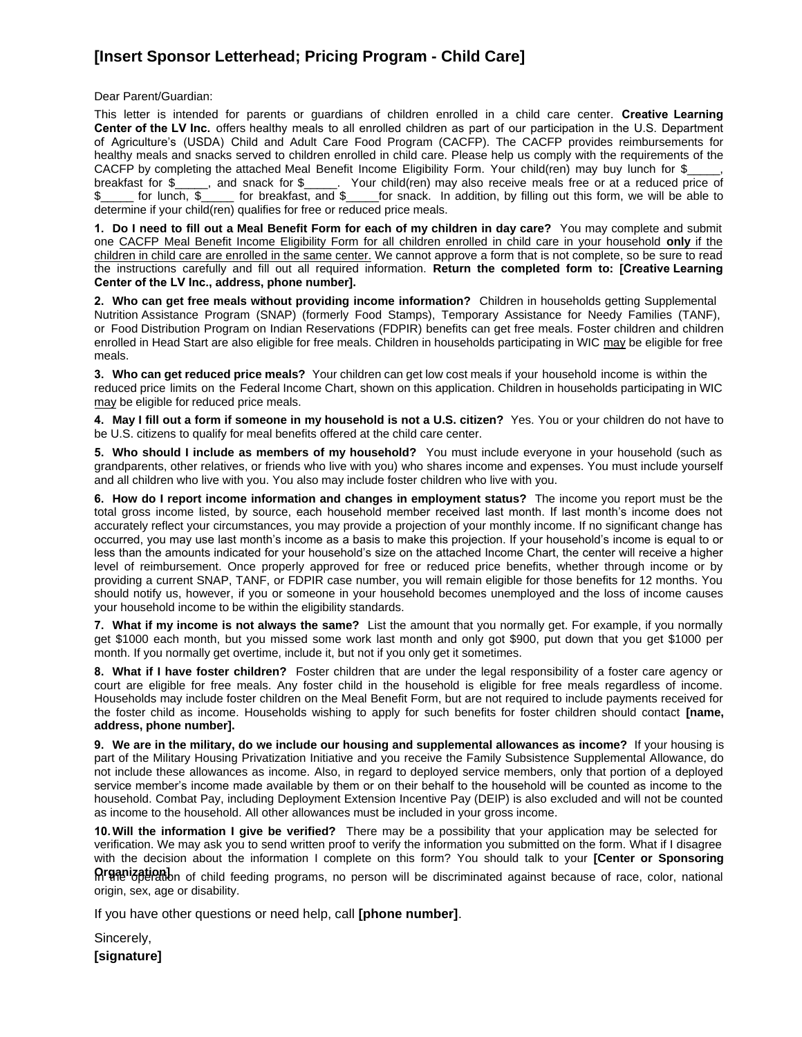# **[Insert Sponsor Letterhead; Pricing Program - Child Care]**

Dear Parent/Guardian:

This letter is intended for parents or guardians of children enrolled in a child care center. **Creative Learning Center of the LV Inc.** offers healthy meals to all enrolled children as part of our participation in the U.S. Department of Agriculture's (USDA) Child and Adult Care Food Program (CACFP). The CACFP provides reimbursements for healthy meals and snacks served to children enrolled in child care. Please help us comply with the requirements of the CACFP by completing the attached Meal Benefit Income Eligibility Form. Your child(ren) may buy lunch for \$ breakfast for \$\_\_\_\_\_, and snack for \$\_\_\_\_\_. Your child(ren) may also receive meals free or at a reduced price of \$\_\_\_\_\_ for lunch, \$\_\_\_\_\_ for breakfast, and \$\_\_\_\_\_for snack. In addition, by filling out this form, we will be able to determine if your child(ren) qualifies for free or reduced price meals.

**1. Do I need to fill out a Meal Benefit Form for each of my children in day care?** You may complete and submit one CACFP Meal Benefit Income Eligibility Form for all children enrolled in child care in your household **only** if the children in child care are enrolled in the same center. We cannot approve a form that is not complete, so be sure to read the instructions carefully and fill out all required information. **Return the completed form to: [Creative Learning Center of the LV Inc., address, phone number].**

**2. Who can get free meals without providing income information?** Children in households getting Supplemental Nutrition Assistance Program (SNAP) (formerly Food Stamps), Temporary Assistance for Needy Families (TANF), or Food Distribution Program on Indian Reservations (FDPIR) benefits can get free meals. Foster children and children enrolled in Head Start are also eligible for free meals. Children in households participating in WIC may be eligible for free meals.

**3. Who can get reduced price meals?** Your children can get low cost meals if your household income is within the reduced price limits on the Federal Income Chart, shown on this application. Children in households participating in WIC may be eligible for reduced price meals.

**4. May I fill out a form if someone in my household is not a U.S. citizen?** Yes. You or your children do not have to be U.S. citizens to qualify for meal benefits offered at the child care center.

**5. Who should I include as members of my household?** You must include everyone in your household (such as grandparents, other relatives, or friends who live with you) who shares income and expenses. You must include yourself and all children who live with you. You also may include foster children who live with you.

**6. How do I report income information and changes in employment status?** The income you report must be the total gross income listed, by source, each household member received last month. If last month's income does not accurately reflect your circumstances, you may provide a projection of your monthly income. If no significant change has occurred, you may use last month's income as a basis to make this projection. If your household's income is equal to or less than the amounts indicated for your household's size on the attached Income Chart, the center will receive a higher level of reimbursement. Once properly approved for free or reduced price benefits, whether through income or by providing a current SNAP, TANF, or FDPIR case number, you will remain eligible for those benefits for 12 months. You should notify us, however, if you or someone in your household becomes unemployed and the loss of income causes your household income to be within the eligibility standards.

**7. What if my income is not always the same?** List the amount that you normally get. For example, if you normally get \$1000 each month, but you missed some work last month and only got \$900, put down that you get \$1000 per month. If you normally get overtime, include it, but not if you only get it sometimes.

**8. What if I have foster children?** Foster children that are under the legal responsibility of a foster care agency or court are eligible for free meals. Any foster child in the household is eligible for free meals regardless of income. Households may include foster children on the Meal Benefit Form, but are not required to include payments received for the foster child as income. Households wishing to apply for such benefits for foster children should contact **[name, address, phone number].**

**9. We are in the military, do we include our housing and supplemental allowances as income?** If your housing is part of the Military Housing Privatization Initiative and you receive the Family Subsistence Supplemental Allowance, do not include these allowances as income. Also, in regard to deployed service members, only that portion of a deployed service member's income made available by them or on their behalf to the household will be counted as income to the household. Combat Pay, including Deployment Extension Incentive Pay (DEIP) is also excluded and will not be counted as income to the household. All other allowances must be included in your gross income.

**10.Will the information I give be verified?** There may be a possibility that your application may be selected for verification. We may ask you to send written proof to verify the information you submitted on the form. What if I disagree with the decision about the information I complete on this form? You should talk to your **[Center or Sponsoring**

**Organization]**<br> **Organization** of child feeding programs, no person will be discriminated against because of race, color, national origin, sex, age or disability.

If you have other questions or need help, call **[phone number]**.

Sincerely, **[signature]**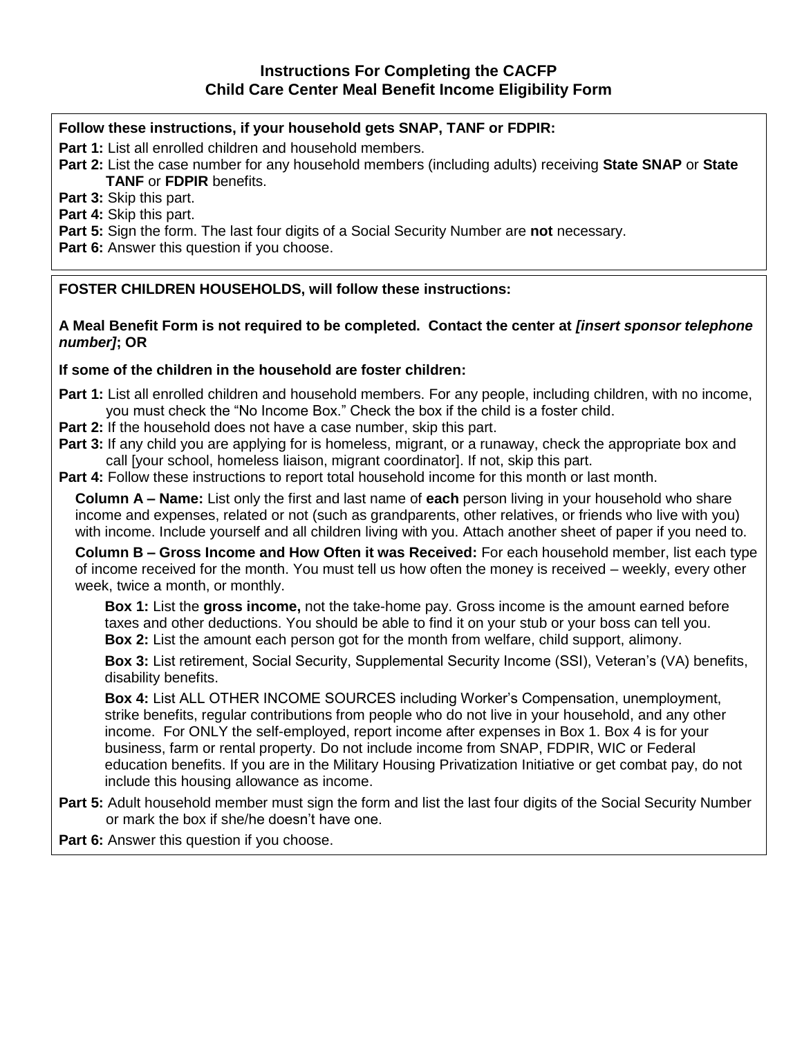## **Follow these instructions, if your household gets SNAP, TANF or FDPIR:**

**Part 1:** List all enrolled children and household members.

**Part 2:** List the case number for any household members (including adults) receiving **State SNAP** or **State TANF** or **FDPIR** benefits.

**Part 3:** Skip this part.

**Part 4:** Skip this part.

**Part 5:** Sign the form. The last four digits of a Social Security Number are **not** necessary.

**Part 6:** Answer this question if you choose.

**FOSTER CHILDREN HOUSEHOLDS, will follow these instructions:**

**A Meal Benefit Form is not required to be completed. Contact the center at** *[insert sponsor telephone number]***; OR**

#### **If some of the children in the household are foster children:**

- **Part 1:** List all enrolled children and household members. For any people, including children, with no income, you must check the "No Income Box." Check the box if the child is a foster child.
- **Part 2:** If the household does not have a case number, skip this part.
- Part 3: If any child you are applying for is homeless, migrant, or a runaway, check the appropriate box and call [your school, homeless liaison, migrant coordinator]. If not, skip this part.

**Part 4:** Follow these instructions to report total household income for this month or last month.

**Column A – Name:** List only the first and last name of **each** person living in your household who share income and expenses, related or not (such as grandparents, other relatives, or friends who live with you) with income. Include yourself and all children living with you. Attach another sheet of paper if you need to.

**Column B – Gross Income and How Often it was Received:** For each household member, list each type of income received for the month. You must tell us how often the money is received – weekly, every other week, twice a month, or monthly.

**Box 1:** List the **gross income,** not the take-home pay. Gross income is the amount earned before taxes and other deductions. You should be able to find it on your stub or your boss can tell you. **Box 2:** List the amount each person got for the month from welfare, child support, alimony.

**Box 3:** List retirement, Social Security, Supplemental Security Income (SSI), Veteran's (VA) benefits, disability benefits.

**Box 4:** List ALL OTHER INCOME SOURCES including Worker's Compensation, unemployment, strike benefits, regular contributions from people who do not live in your household, and any other income. For ONLY the self-employed, report income after expenses in Box 1. Box 4 is for your business, farm or rental property. Do not include income from SNAP, FDPIR, WIC or Federal education benefits. If you are in the Military Housing Privatization Initiative or get combat pay, do not include this housing allowance as income.

**Part 5:** Adult household member must sign the form and list the last four digits of the Social Security Number or mark the box if she/he doesn't have one.

**Part 6:** Answer this question if you choose.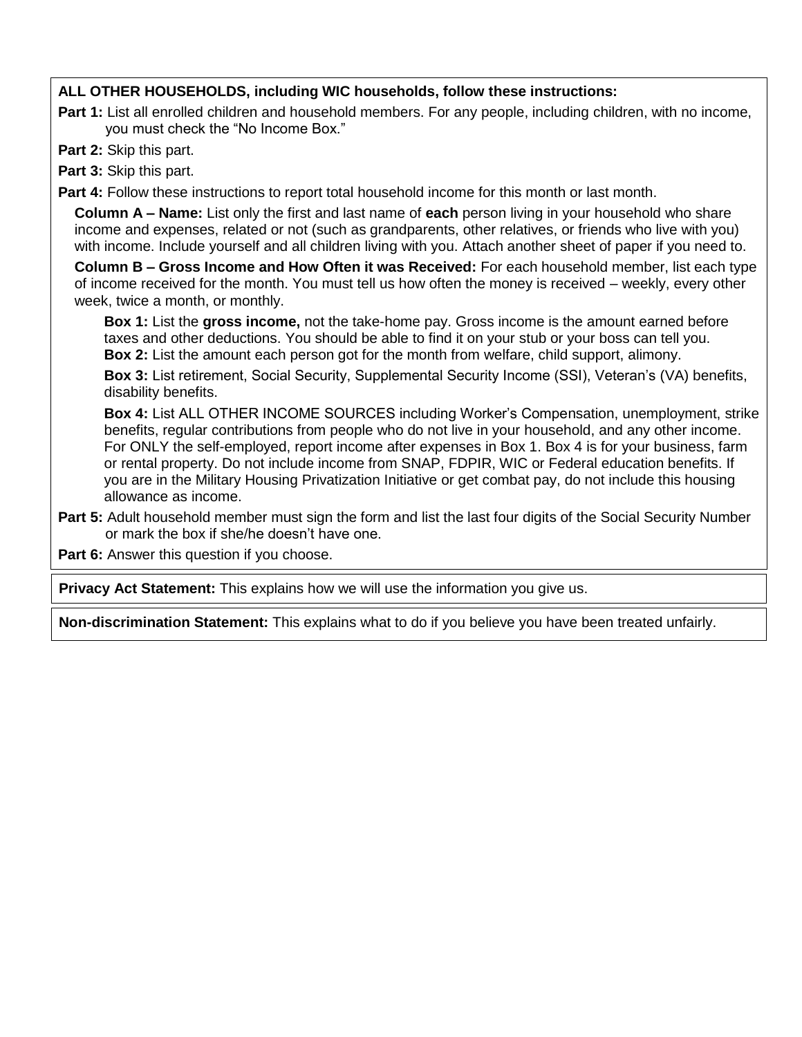## **ALL OTHER HOUSEHOLDS, including WIC households, follow these instructions:**

**Part 1:** List all enrolled children and household members. For any people, including children, with no income, you must check the "No Income Box."

**Part 2:** Skip this part.

**Part 3:** Skip this part.

**Part 4:** Follow these instructions to report total household income for this month or last month.

**Column A – Name:** List only the first and last name of **each** person living in your household who share income and expenses, related or not (such as grandparents, other relatives, or friends who live with you) with income. Include yourself and all children living with you. Attach another sheet of paper if you need to.

**Column B – Gross Income and How Often it was Received:** For each household member, list each type of income received for the month. You must tell us how often the money is received – weekly, every other week, twice a month, or monthly.

**Box 1:** List the **gross income,** not the take-home pay. Gross income is the amount earned before taxes and other deductions. You should be able to find it on your stub or your boss can tell you. **Box 2:** List the amount each person got for the month from welfare, child support, alimony.

**Box 3:** List retirement, Social Security, Supplemental Security Income (SSI), Veteran's (VA) benefits, disability benefits.

**Box 4:** List ALL OTHER INCOME SOURCES including Worker's Compensation, unemployment, strike benefits, regular contributions from people who do not live in your household, and any other income. For ONLY the self-employed, report income after expenses in Box 1. Box 4 is for your business, farm or rental property. Do not include income from SNAP, FDPIR, WIC or Federal education benefits. If you are in the Military Housing Privatization Initiative or get combat pay, do not include this housing allowance as income.

**Part 5:** Adult household member must sign the form and list the last four digits of the Social Security Number or mark the box if she/he doesn't have one.

**Part 6:** Answer this question if you choose.

**Privacy Act Statement:** This explains how we will use the information you give us.

**Non-discrimination Statement:** This explains what to do if you believe you have been treated unfairly.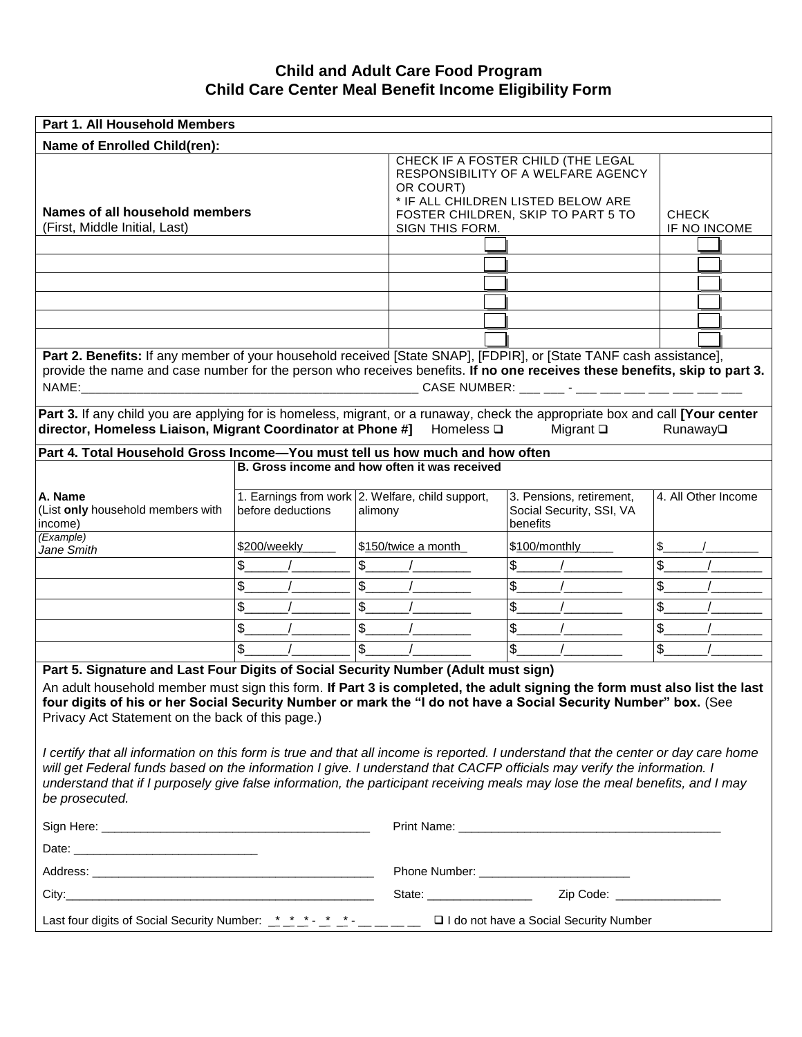#### **Child and Adult Care Food Program Child Care Center Meal Benefit Income Eligibility Form**

| Part 1. All Household Members                                                                                                                                                                                                                                                                                                                                                                                   |                                                                       |                                    |                     |                                                                                                                |                     |
|-----------------------------------------------------------------------------------------------------------------------------------------------------------------------------------------------------------------------------------------------------------------------------------------------------------------------------------------------------------------------------------------------------------------|-----------------------------------------------------------------------|------------------------------------|---------------------|----------------------------------------------------------------------------------------------------------------|---------------------|
| Name of Enrolled Child(ren):                                                                                                                                                                                                                                                                                                                                                                                    |                                                                       |                                    |                     |                                                                                                                |                     |
|                                                                                                                                                                                                                                                                                                                                                                                                                 |                                                                       |                                    | OR COURT)           | CHECK IF A FOSTER CHILD (THE LEGAL<br>RESPONSIBILITY OF A WELFARE AGENCY<br>* IF ALL CHILDREN LISTED BELOW ARE |                     |
| Names of all household members                                                                                                                                                                                                                                                                                                                                                                                  |                                                                       | FOSTER CHILDREN, SKIP TO PART 5 TO | <b>CHECK</b>        |                                                                                                                |                     |
| (First, Middle Initial, Last)                                                                                                                                                                                                                                                                                                                                                                                   |                                                                       |                                    | SIGN THIS FORM.     |                                                                                                                | IF NO INCOME        |
|                                                                                                                                                                                                                                                                                                                                                                                                                 |                                                                       |                                    |                     |                                                                                                                |                     |
|                                                                                                                                                                                                                                                                                                                                                                                                                 |                                                                       |                                    |                     |                                                                                                                |                     |
|                                                                                                                                                                                                                                                                                                                                                                                                                 |                                                                       |                                    |                     |                                                                                                                |                     |
|                                                                                                                                                                                                                                                                                                                                                                                                                 |                                                                       |                                    |                     |                                                                                                                |                     |
|                                                                                                                                                                                                                                                                                                                                                                                                                 |                                                                       |                                    |                     |                                                                                                                |                     |
|                                                                                                                                                                                                                                                                                                                                                                                                                 |                                                                       |                                    |                     |                                                                                                                |                     |
| Part 2. Benefits: If any member of your household received [State SNAP], [FDPIR], or [State TANF cash assistance],<br>provide the name and case number for the person who receives benefits. If no one receives these benefits, skip to part 3.<br>Part 3. If any child you are applying for is homeless, migrant, or a runaway, check the appropriate box and call [Your center                                |                                                                       |                                    |                     | CASE NUMBER: ___ ___ - ___ ___ ___ ___ ___ ___ ___                                                             |                     |
| director, Homeless Liaison, Migrant Coordinator at Phone #]                                                                                                                                                                                                                                                                                                                                                     |                                                                       |                                    | Homeless $\square$  | Migrant $\square$                                                                                              | Runaway             |
| Part 4. Total Household Gross Income-You must tell us how much and how often                                                                                                                                                                                                                                                                                                                                    |                                                                       |                                    |                     |                                                                                                                |                     |
|                                                                                                                                                                                                                                                                                                                                                                                                                 | B. Gross income and how often it was received                         |                                    |                     |                                                                                                                |                     |
| A. Name<br>(List only household members with<br>income)                                                                                                                                                                                                                                                                                                                                                         | 1. Earnings from work 2. Welfare, child support,<br>before deductions | alimony                            |                     | 3. Pensions, retirement,<br>Social Security, SSI, VA<br>benefits                                               | 4. All Other Income |
| (Example)<br>Jane Smith                                                                                                                                                                                                                                                                                                                                                                                         | \$200/weekly                                                          |                                    | \$150/twice a month | \$100/monthly                                                                                                  | \$                  |
|                                                                                                                                                                                                                                                                                                                                                                                                                 | \$.                                                                   | \$                                 |                     | $\boldsymbol{\mathsf{S}}$                                                                                      | \$                  |
|                                                                                                                                                                                                                                                                                                                                                                                                                 | \$.                                                                   | \$                                 |                     | $\frac{1}{2}$                                                                                                  | \$                  |
|                                                                                                                                                                                                                                                                                                                                                                                                                 | \$                                                                    | \$                                 |                     | \$                                                                                                             | \$                  |
|                                                                                                                                                                                                                                                                                                                                                                                                                 | \$                                                                    | \$                                 |                     | $\boldsymbol{\mathsf{S}}$                                                                                      | \$                  |
|                                                                                                                                                                                                                                                                                                                                                                                                                 |                                                                       | $\mathfrak{S}$                     |                     | $\mathfrak{S}$                                                                                                 |                     |
|                                                                                                                                                                                                                                                                                                                                                                                                                 | \$                                                                    |                                    |                     |                                                                                                                | $\frac{1}{2}$       |
| Part 5. Signature and Last Four Digits of Social Security Number (Adult must sign)<br>An adult household member must sign this form. If Part 3 is completed, the adult signing the form must also list the last<br>four digits of his or her Social Security Number or mark the "I do not have a Social Security Number" box. (See<br>Privacy Act Statement on the back of this page.)                          |                                                                       |                                    |                     |                                                                                                                |                     |
| I certify that all information on this form is true and that all income is reported. I understand that the center or day care home<br>will get Federal funds based on the information I give. I understand that CACFP officials may verify the information. I<br>understand that if I purposely give false information, the participant receiving meals may lose the meal benefits, and I may<br>be prosecuted. |                                                                       |                                    |                     |                                                                                                                |                     |
|                                                                                                                                                                                                                                                                                                                                                                                                                 |                                                                       |                                    |                     |                                                                                                                |                     |
|                                                                                                                                                                                                                                                                                                                                                                                                                 |                                                                       |                                    |                     |                                                                                                                |                     |
|                                                                                                                                                                                                                                                                                                                                                                                                                 |                                                                       |                                    |                     |                                                                                                                |                     |
|                                                                                                                                                                                                                                                                                                                                                                                                                 |                                                                       |                                    |                     |                                                                                                                |                     |
|                                                                                                                                                                                                                                                                                                                                                                                                                 |                                                                       |                                    |                     |                                                                                                                |                     |
| Last four digits of Social Security Number: _*_*_* -* _* _* -__ __ __ □ I do not have a Social Security Number                                                                                                                                                                                                                                                                                                  |                                                                       |                                    |                     |                                                                                                                |                     |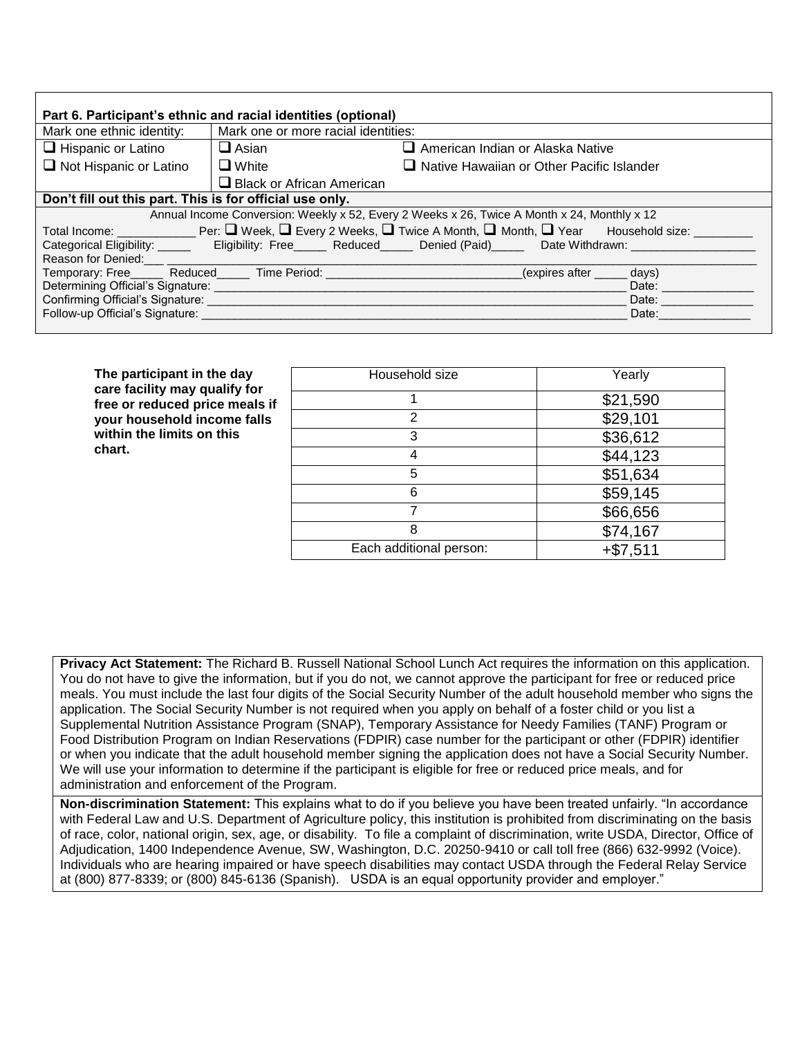| Part 6. Participant's ethnic and racial identities (optional)                                                                                                                                                                                                       |                                     |                                           |                                         |                             |       |  |
|---------------------------------------------------------------------------------------------------------------------------------------------------------------------------------------------------------------------------------------------------------------------|-------------------------------------|-------------------------------------------|-----------------------------------------|-----------------------------|-------|--|
| Mark one ethnic identity:                                                                                                                                                                                                                                           | Mark one or more racial identities: |                                           |                                         |                             |       |  |
| $\Box$ Hispanic or Latino                                                                                                                                                                                                                                           | $\Box$ Asian                        |                                           | $\Box$ American Indian or Alaska Native |                             |       |  |
| $\Box$ Not Hispanic or Latino                                                                                                                                                                                                                                       | $\Box$ White                        | Native Hawaiian or Other Pacific Islander |                                         |                             |       |  |
|                                                                                                                                                                                                                                                                     | $\Box$ Black or African American    |                                           |                                         |                             |       |  |
| Don't fill out this part. This is for official use only.                                                                                                                                                                                                            |                                     |                                           |                                         |                             |       |  |
| Annual Income Conversion: Weekly x 52, Every 2 Weeks x 26, Twice A Month x 24, Monthly x 12                                                                                                                                                                         |                                     |                                           |                                         |                             |       |  |
| Total Income: ________________Per: $\Box$ Week, $\Box$ Every 2 Weeks, $\Box$ Twice A Month, $\Box$ Month, $\Box$ Year $\Box$ Household size: ______                                                                                                                 |                                     |                                           |                                         |                             |       |  |
|                                                                                                                                                                                                                                                                     |                                     |                                           |                                         |                             |       |  |
|                                                                                                                                                                                                                                                                     |                                     |                                           |                                         |                             |       |  |
| Temporary: Free Reduced Time Period: Network Channels Control Channels Channels Channels Channels Channels Cha                                                                                                                                                      |                                     |                                           |                                         | (expires after ______ days) |       |  |
| Determining Official's Signature:<br>Date: the contract of the contract of the contract of the contract of the contract of the contract of the contract of the contract of the contract of the contract of the contract of the contract of the contract of the cont |                                     |                                           |                                         |                             |       |  |
| Confirming Official's Signature: <b>Confirming</b> Official's Signature:                                                                                                                                                                                            |                                     |                                           |                                         |                             | Date: |  |
| Follow-up Official's Signature:                                                                                                                                                                                                                                     |                                     |                                           |                                         |                             | Date: |  |
|                                                                                                                                                                                                                                                                     |                                     |                                           |                                         |                             |       |  |

| The participant in the day                                      | Household size          | Yearly     |  |  |
|-----------------------------------------------------------------|-------------------------|------------|--|--|
| care facility may qualify for<br>free or reduced price meals if |                         | \$21,590   |  |  |
| your household income falls                                     | 2                       | \$29,101   |  |  |
| within the limits on this                                       | 3                       | \$36,612   |  |  |
| chart.                                                          |                         | \$44,123   |  |  |
|                                                                 | 5                       | \$51,634   |  |  |
|                                                                 | 6                       | \$59,145   |  |  |
|                                                                 |                         | \$66,656   |  |  |
|                                                                 | 8                       | \$74,167   |  |  |
|                                                                 | Each additional person: | $+ $7,511$ |  |  |

**Privacy Act Statement:** The Richard B. Russell National School Lunch Act requires the information on this application. You do not have to give the information, but if you do not, we cannot approve the participant for free or reduced price meals. You must include the last four digits of the Social Security Number of the adult household member who signs the application. The Social Security Number is not required when you apply on behalf of a foster child or you list a Supplemental Nutrition Assistance Program (SNAP), Temporary Assistance for Needy Families (TANF) Program or Food Distribution Program on Indian Reservations (FDPIR) case number for the participant or other (FDPIR) identifier or when you indicate that the adult household member signing the application does not have a Social Security Number. We will use your information to determine if the participant is eligible for free or reduced price meals, and for administration and enforcement of the Program.

**Non-discrimination Statement:** This explains what to do if you believe you have been treated unfairly. "In accordance with Federal Law and U.S. Department of Agriculture policy, this institution is prohibited from discriminating on the basis of race, color, national origin, sex, age, or disability. To file a complaint of discrimination, write USDA, Director, Office of Adjudication, 1400 Independence Avenue, SW, Washington, D.C. 20250-9410 or call toll free (866) 632-9992 (Voice). Individuals who are hearing impaired or have speech disabilities may contact USDA through the Federal Relay Service at (800) 877-8339; or (800) 845-6136 (Spanish). USDA is an equal opportunity provider and employer."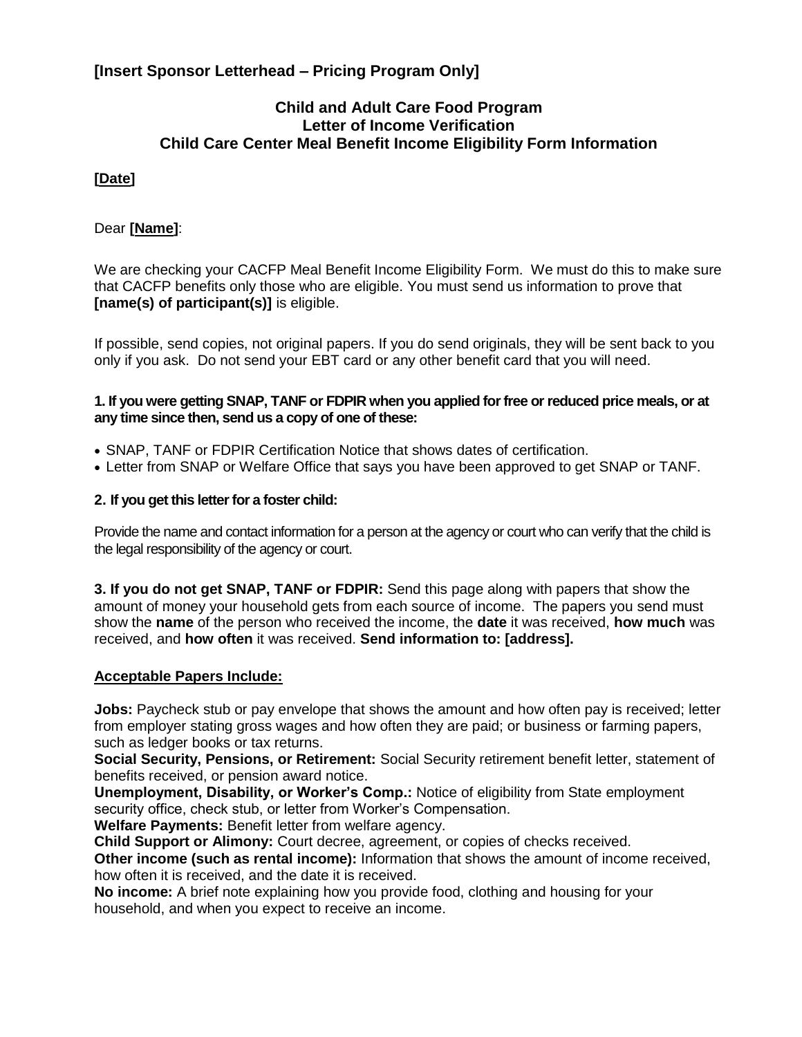# **[Insert Sponsor Letterhead – Pricing Program Only]**

## **Child and Adult Care Food Program Letter of Income Verification Child Care Center Meal Benefit Income Eligibility Form Information**

## **[Date]**

#### Dear **[Name]**:

We are checking your CACFP Meal Benefit Income Eligibility Form. We must do this to make sure that CACFP benefits only those who are eligible. You must send us information to prove that **[name(s) of participant(s)]** is eligible.

If possible, send copies, not original papers. If you do send originals, they will be sent back to you only if you ask. Do not send your EBT card or any other benefit card that you will need.

#### **1. If you were getting SNAP, TANF or FDPIR when you applied for free or reduced price meals, or at any time since then, send us a copy of one of these:**

- SNAP, TANF or FDPIR Certification Notice that shows dates of certification.
- Letter from SNAP or Welfare Office that says you have been approved to get SNAP or TANF.

#### **2. If you get this letter for a foster child:**

Provide the name and contact information for a person at the agency or court who can verify that the child is the legal responsibility of the agency or court.

**3. If you do not get SNAP, TANF or FDPIR:** Send this page along with papers that show the amount of money your household gets from each source of income. The papers you send must show the **name** of the person who received the income, the **date** it was received, **how much** was received, and **how often** it was received. **Send information to: [address].**

#### **Acceptable Papers Include:**

**Jobs:** Paycheck stub or pay envelope that shows the amount and how often pay is received; letter from employer stating gross wages and how often they are paid; or business or farming papers, such as ledger books or tax returns.

**Social Security, Pensions, or Retirement:** Social Security retirement benefit letter, statement of benefits received, or pension award notice.

**Unemployment, Disability, or Worker's Comp.:** Notice of eligibility from State employment security office, check stub, or letter from Worker's Compensation.

**Welfare Payments:** Benefit letter from welfare agency.

**Child Support or Alimony:** Court decree, agreement, or copies of checks received. **Other income (such as rental income):** Information that shows the amount of income received, how often it is received, and the date it is received.

**No income:** A brief note explaining how you provide food, clothing and housing for your household, and when you expect to receive an income.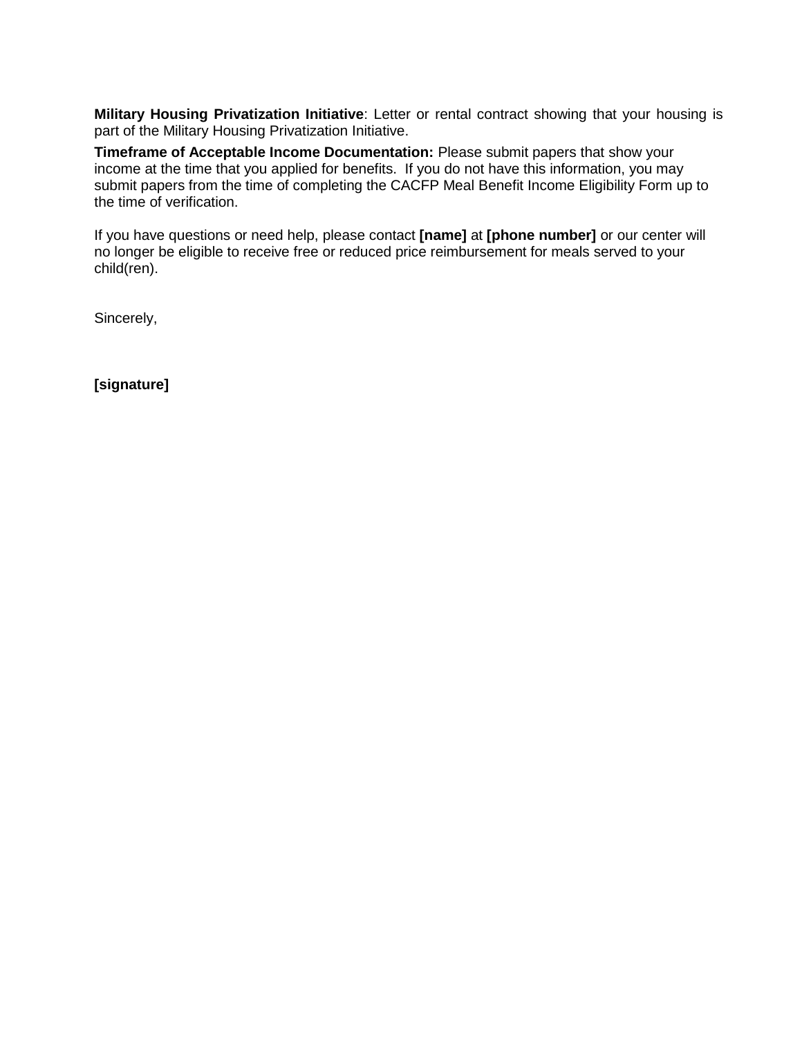**Military Housing Privatization Initiative**: Letter or rental contract showing that your housing is part of the Military Housing Privatization Initiative.

**Timeframe of Acceptable Income Documentation:** Please submit papers that show your income at the time that you applied for benefits. If you do not have this information, you may submit papers from the time of completing the CACFP Meal Benefit Income Eligibility Form up to the time of verification.

If you have questions or need help, please contact **[name]** at **[phone number]** or our center will no longer be eligible to receive free or reduced price reimbursement for meals served to your child(ren).

Sincerely,

**[signature]**